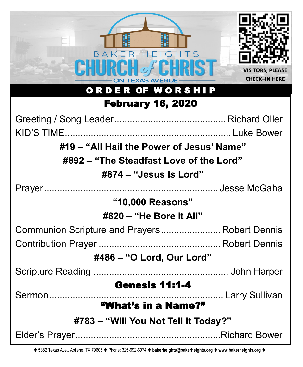| BAKER HEIGHTS<br><b>TEXAS AVENUE</b><br>ORDER OF WORSHIP | <b>VISITORS, PLEASE</b><br><b>CHECK-IN HERE</b> |  |
|----------------------------------------------------------|-------------------------------------------------|--|
| <b>February 16, 2020</b>                                 |                                                 |  |
|                                                          |                                                 |  |
|                                                          |                                                 |  |
| #19 – "All Hail the Power of Jesus' Name"                |                                                 |  |
| #892 – "The Steadfast Love of the Lord"                  |                                                 |  |
| #874 – "Jesus Is Lord"                                   |                                                 |  |
|                                                          |                                                 |  |
| "10,000 Reasons"                                         |                                                 |  |
| $\#820 - "He Bore It All"$                               |                                                 |  |
| Communion Scripture and Prayers Robert Dennis            |                                                 |  |
|                                                          |                                                 |  |
| #486 - "O Lord, Our Lord"                                |                                                 |  |
|                                                          |                                                 |  |
| <b>Genesis 11:1-4</b><br>"What's in a Name?"             |                                                 |  |
| #783 – "Will You Not Tell It Today?"                     |                                                 |  |
|                                                          |                                                 |  |

⧫ 5382 Texas Ave., Abilene, TX 79605 ⧫ Phone: 325-692-6974 ⧫ **bakerheights@bakerheights.org** ⧫ **www.bakerheights.org** ⧫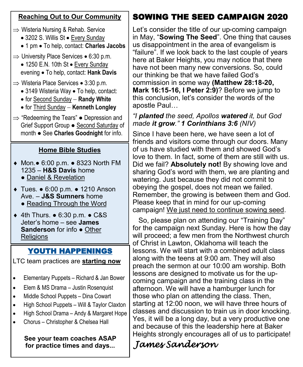# **Reaching Out to Our Community**

- $\Rightarrow$  Wisteria Nursing & Rehab. Service
	- 3202 S. Willis St Every Sunday
	- 1 pm To help, contact: **Charles Jacobs**
- $\Rightarrow$  University Place Services 6:30 p.m.
	- 1250 E.N. 10th St Every Sunday evening • To help, contact: **Hank Davis**
- $\Rightarrow$  Wisteria Place Services 3:30 p.m.
	- 3149 Wisteria Way To help, contact:
	- for Second Sunday − **Randy White**
	- for Third Sunday − **Kenneth Longley**
- $\Rightarrow$  "Redeeming the Tears"  $\bullet$  Depression and Grief Support Group ● Second Saturday of month ● See **Charles Goodnight** for info.

# **Home Bible Studies**

- Mon.● 6:00 p.m. 8323 North FM 1235 – **H&S Davis** home
	- Daniel & Revelation
- Tues. 6:00 p.m. 1210 Anson Ave. – **J&S Sumners** home
	- Reading Through the Word
- 4th Thurs. 6:30 p.m. C&S Jeter's home – see **James Sanderson** for info ● Other **Religions**

# YOUTH HAPPENINGS

LTC team practices are **starting now** 

- Elementary Puppets Richard & Jan Bower
- Elem & MS Drama Justin Rosenquist
- Middle School Puppets Dina Cowart
- High School Puppets Will & Taylor Claxton
- High School Drama Andy & Margaret Hope
- Chorus Christopher & Chelsea Hall

**See your team coaches ASAP for practice times and days...**

# SOWING THE SEED CAMPAIGN 2020

Let's consider the title of our up-coming campaign in May, "**Sowing The Seed**". One thing that causes us disappointment in the area of evangelism is "failure". If we look back to the last couple of years here at Baker Heights, you may notice that there have not been many new conversions. So, could our thinking be that we have failed God's commission in some way **(Matthew 28:18-20, Mark 16:15-16, I Peter 2:9)**? Before we jump to this conclusion, let's consider the words of the apostle Paul…

# *"I planted the seed, Apollos watered it, but God made it grow." 1 Corinthians 3:6 (NIV)*

Since I have been here, we have seen a lot of friends and visitors come through our doors. Many of us have studied with them and showed God's love to them. In fact, some of them are still with us. Did we fail? **Absolutely not!** By showing love and sharing God's word with them, we are planting and watering. Just because they did not commit to obeying the gospel, does not mean we failed. Remember, the growing is between them and God. Please keep that in mind for our up-coming campaign! We just need to continue sowing seed.

 So, please plan on attending our "Training Day" for the campaign next Sunday. Here is how the day will proceed; a few men from the Northwest church of Christ in Lawton, Oklahoma will teach the lessons. We will start with a combined adult class along with the teens at 9:00 am. They will also preach the sermon at our 10:00 am worship. Both lessons are designed to motivate us for the upcoming campaign and the training class in the afternoon. We will have a hamburger lunch for those who plan on attending the class. Then, starting at 12:00 noon, we will have three hours of classes and discussion to train us in door knocking. Yes, it will be a long day, but a very productive one and because of this the leadership here at Baker Heights strongly encourages all of us to participate!

# *James Sanderson*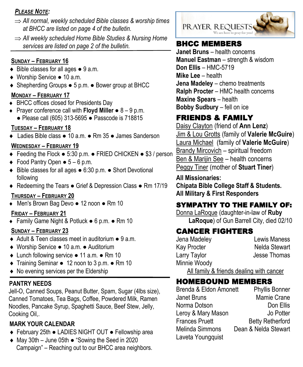### *PLEASE NOTE:*

- *All normal, weekly scheduled Bible classes & worship times at BHCC are listed on page 4 of the bulletin.*
- *All weekly scheduled Home Bible Studies & Nursing Home services are listed on page 2 of the bulletin.* **BHCC MEMBERS**

### **SUNDAY – FEBRUARY 16**

- ◆ Bible classes for all ages 9 a.m.
- ◆ Worship Service 10 a.m.
- Shepherding Groups 5 p.m. Bower group at BHCC

## **MONDAY – FEBRUARY 17**

- ◆ BHCC offices closed for Presidents Day
- Prayer conference call with **Floyd Miller**  8 9 p.m. ● Please call (605) 313-5695 ● Passcode is 718815

# **TUESDAY – FEBRUARY 18**

Ladies Bible class ● 10 a.m. ● Rm 35 ● James Sanderson

## **WEDNESDAY – FEBRUARY 19**

- Feeding the Flock 5:30 p.m. FRIED CHICKEN \$3 / person
- $\bullet$  Food Pantry Open  $\bullet$  5 6 p.m.
- Bible classes for all ages 6:30 p.m. Short Devotional following
- ◆ Redeeming the Tears Grief & Depression Class Rm 17/19

### **THURSDAY – FEBRUARY 20**

Men's Brown Bag Devo ● 12 noon ● Rm 10

### **FRIDAY – FEBRUARY 21**

Family Game Night & Potluck ● 6 p.m. ● Rm 10

### **SUNDAY – FEBRUARY 23**

- ◆ Adult & Teen classes meet in auditorium 9 a.m.
- Worship Service 10 a.m. Auditorium
- Lunch following service 11 a.m. Rm 10
- Training Seminar 12 noon to 3 p.m. Rm 10
- No evening services per the Eldership

# **PANTRY NEEDS**

Jell-O, Canned Soups, Peanut Butter, Spam, Sugar (4lbs size), Canned Tomatoes, Tea Bags, Coffee, Powdered Milk, Ramen Noodles, Pancake Syrup, Spaghetti Sauce, Beef Stew, Jelly, Cooking Oil,.

# **MARK YOUR CALENDAR**

- February 25th LADIES NIGHT OUT Fellowship area
- May 30th June 05th "Sowing the Seed in 2020 Campaign" – Reaching out to our BHCC area neighbors.



**Janet Bruns** – health concerns **Manuel Eastman** – strength & wisdom **Don Ellis** – HMC-5719 **Mike Lee** – health **Jena Madeley** – chemo treatments **Ralph Procter** – HMC health concerns **Maxine Spears** – health **Bobby Sudbury** – fell on ice

# FRIENDS & FAMILY

Daisy Clayton (friend of **Ann Lenz**) Jim & Lou Grotts (family of **Valerie McGuire**) Laura Michael (family of **Valerie McGuire**) Brandy Mircovich – spiritual freedom Ben & Marijin See – health concerns Peggy Tiner (mother of **Stuart Tiner**)

## **All Missionaries:**

**Chipata Bible College Staff & Students. All Military & First Responders**

# SYMPATHY TO THE FAMILY OF:

Donna LaRoque (daughter-in-law of **Ruby LaRoque**) of Gun Barrell City, died 02/10

# CANCER FIGHTERS

Jena Madeley Lewis Maness Kay Procter Nelda Stewart Larry Taylor **Jesse Thomas** Minnie Woody

All family & friends dealing with cancer

# HOMEBOUND MEMBERS

Brenda & Eldon Amonett Phyllis Bonner Janet Bruns Mamie Crane Norma Dotson **Don Ellis** Leroy & Mary Mason Jo Potter Frances Pruett Betty Retherford Melinda Simmons Dean & Nelda Stewart Laveta Youngquist